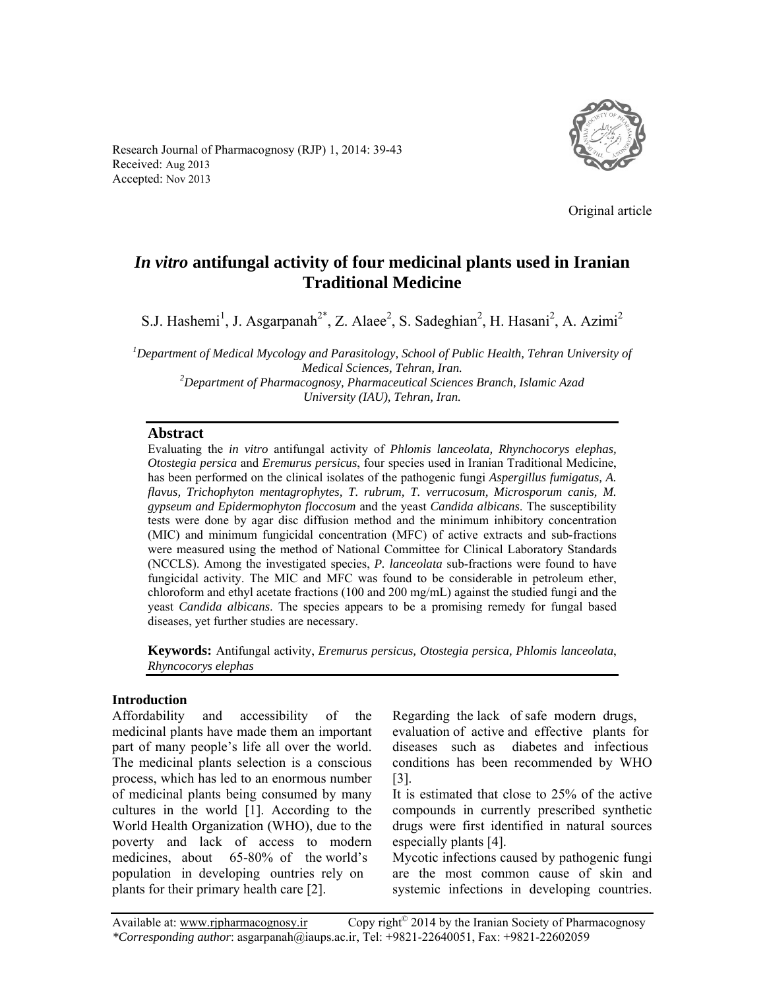Research Journal of Pharmacognosy (RJP) 1, 2014: 39-43 Received: Aug 2013 Accepted: Nov 2013



Original article

# *In vitro* **antifungal activity of four medicinal plants used in Iranian Traditional Medicine**

S.J. Hashemi<sup>1</sup>, J. Asgarpanah<sup>2\*</sup>, Z. Alaee<sup>2</sup>, S. Sadeghian<sup>2</sup>, H. Hasani<sup>2</sup>, A. Azimi<sup>2</sup>

*1 Department of Medical Mycology and Parasitology, School of Public Health, Tehran University of Medical Sciences, Tehran, Iran.*<br><sup>2</sup> Department of Pharmacognosy, Pharmaceutical Sciences Branch, Islamic Azad *University (IAU), Tehran, Iran.*

#### **Abstract**

Evaluating the *in vitro* antifungal activity of *Phlomis lanceolata, Rhynchocorys elephas, Otostegia persica* and *Eremurus persicus*, four species used in Iranian Traditional Medicine, has been performed on the clinical isolates of the pathogenic fungi *Aspergillus fumigatus, A. flavus, Trichophyton mentagrophytes, T. rubrum, T. verrucosum, Microsporum canis, M. gypseum and Epidermophyton floccosum* and the yeast *Candida albicans*. The susceptibility tests were done by agar disc diffusion method and the minimum inhibitory concentration (MIC) and minimum fungicidal concentration (MFC) of active extracts and sub-fractions were measured using the method of National Committee for Clinical Laboratory Standards (NCCLS). Among the investigated species, *P. lanceolata* sub-fractions were found to have fungicidal activity. The MIC and MFC was found to be considerable in petroleum ether, chloroform and ethyl acetate fractions (100 and 200 mg/mL) against the studied fungi and the yeast *Candida albicans*. The species appears to be a promising remedy for fungal based diseases, yet further studies are necessary.

**Keywords:** Antifungal activity, *Eremurus persicus, Otostegia persica, Phlomis lanceolata*, *Rhyncocorys elephas*

#### **Introduction**

Affordability and accessibility of the medicinal plants have made them an important part of many people's life all over the world. The medicinal plants selection is a conscious process, which has led to an enormous number of medicinal plants being consumed by many cultures in the world [1]. According to the World Health Organization (WHO), due to the poverty and lack of access to modern medicines, about 65-80% of the world's population in developing ountries rely on plants for their primary health care [2].

Regarding the lack of safe modern drugs, evaluation of active and effective plants for diseases such as diabetes and infectious conditions has been recommended by WHO [3].

It is estimated that close to 25% of the active compounds in currently prescribed synthetic drugs were first identified in natural sources especially plants [4].

Mycotic infections caused by pathogenic fungi are the most common cause of skin and systemic infections in developing countries.

Available at: www.rjpharmacognosy.ir Copy right<sup>©</sup> 2014 by the Iranian Society of Pharmacognosy *\*Corresponding author*: asgarpanah@iaups.ac.ir, Tel: +9821-22640051, Fax: +9821-22602059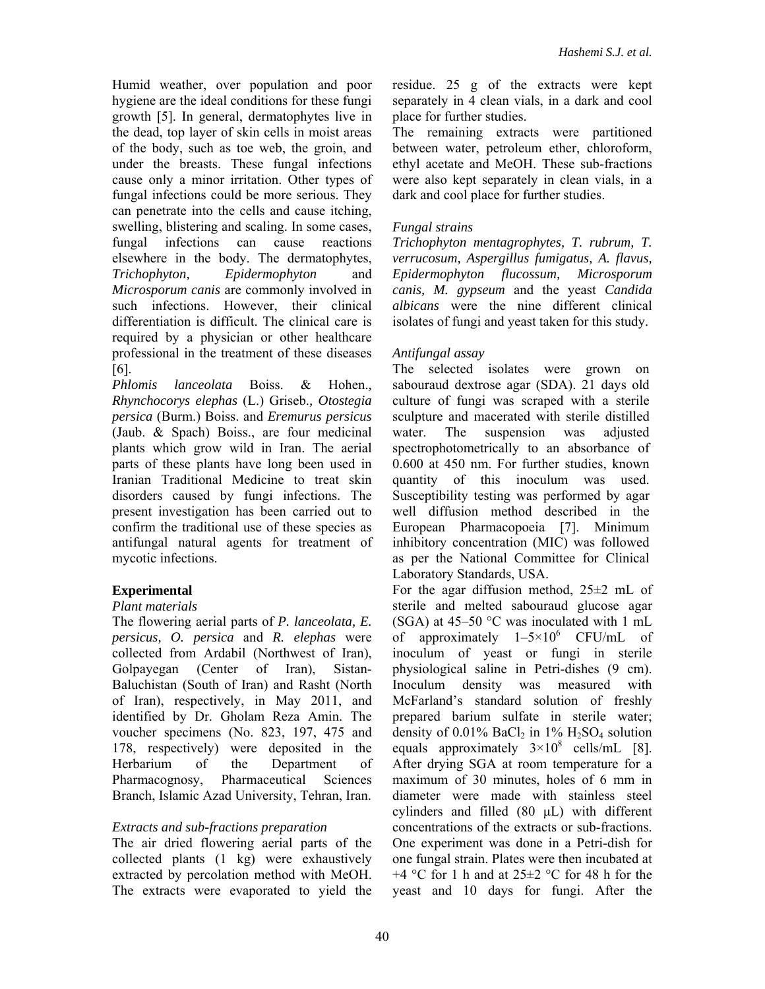Humid weather, over population and poor hygiene are the ideal conditions for these fungi growth [5]. In general, dermatophytes live in the dead, top layer of skin cells in moist areas of the body, such as toe web, the groin, and under the breasts. These fungal infections cause only a minor irritation. Other types of fungal infections could be more serious. They can penetrate into the cells and cause itching, swelling, blistering and scaling. In some cases, fungal infections can cause reactions elsewhere in the body. The dermatophytes, *Trichophyton, Epidermophyton* and *Microsporum canis* are commonly involved in such infections. However, their clinical differentiation is difficult. The clinical care is required by a physician or other healthcare professional in the treatment of these diseases [6].

*Phlomis lanceolata* Boiss. & Hohen.*, Rhynchocorys elephas* (L.) Griseb.*, Otostegia persica* (Burm.) Boiss. and *Eremurus persicus* (Jaub. & Spach) Boiss., are four medicinal plants which grow wild in Iran. The aerial parts of these plants have long been used in Iranian Traditional Medicine to treat skin disorders caused by fungi infections. The present investigation has been carried out to confirm the traditional use of these species as antifungal natural agents for treatment of mycotic infections.

## **Experimental**

## *Plant materials*

The flowering aerial parts of *P. lanceolata, E. persicus, O. persica* and *R. elephas* were collected from Ardabil (Northwest of Iran), Golpayegan (Center of Iran), Sistan-Baluchistan (South of Iran) and Rasht (North of Iran), respectively, in May 2011, and identified by Dr. Gholam Reza Amin. The voucher specimens (No. 823, 197, 475 and 178, respectively) were deposited in the Herbarium of the Department of Pharmacognosy, Pharmaceutical Sciences Branch, Islamic Azad University, Tehran, Iran.

## *Extracts and sub-fractions preparation*

The air dried flowering aerial parts of the collected plants (1 kg) were exhaustively extracted by percolation method with MeOH. The extracts were evaporated to yield the

residue. 25 g of the extracts were kept separately in 4 clean vials, in a dark and cool place for further studies.

The remaining extracts were partitioned between water, petroleum ether, chloroform, ethyl acetate and MeOH. These sub-fractions were also kept separately in clean vials, in a dark and cool place for further studies.

## *Fungal strains*

*Trichophyton mentagrophytes, T. rubrum, T. verrucosum, Aspergillus fumigatus, A. flavus, Epidermophyton flucossum, Microsporum canis, M. gypseum* and the yeast *Candida albicans* were the nine different clinical isolates of fungi and yeast taken for this study.

## *Antifungal assay*

The selected isolates were grown on sabouraud dextrose agar (SDA). 21 days old culture of fungi was scraped with a sterile sculpture and macerated with sterile distilled water. The suspension was adjusted spectrophotometrically to an absorbance of 0.600 at 450 nm. For further studies, known quantity of this inoculum was used. Susceptibility testing was performed by agar well diffusion method described in the European Pharmacopoeia [7]. Minimum inhibitory concentration (MIC) was followed as per the National Committee for Clinical Laboratory Standards, USA.

For the agar diffusion method,  $25\pm2$  mL of sterile and melted sabouraud glucose agar (SGA) at 45–50 °C was inoculated with 1 mL of approximately  $1-5\times10^{6}$  CFU/mL of inoculum of yeast or fungi in sterile physiological saline in Petri-dishes (9 cm). Inoculum density was measured with McFarland's standard solution of freshly prepared barium sulfate in sterile water; density of  $0.01\%$  BaCl<sub>2</sub> in 1% H<sub>2</sub>SO<sub>4</sub> solution equals approximately  $3 \times 10^8$  cells/mL [8]. After drying SGA at room temperature for a maximum of 30 minutes, holes of 6 mm in diameter were made with stainless steel cylinders and filled (80 μL) with different concentrations of the extracts or sub-fractions. One experiment was done in a Petri-dish for one fungal strain. Plates were then incubated at  $+4$  °C for 1 h and at 25 $\pm$ 2 °C for 48 h for the yeast and 10 days for fungi. After the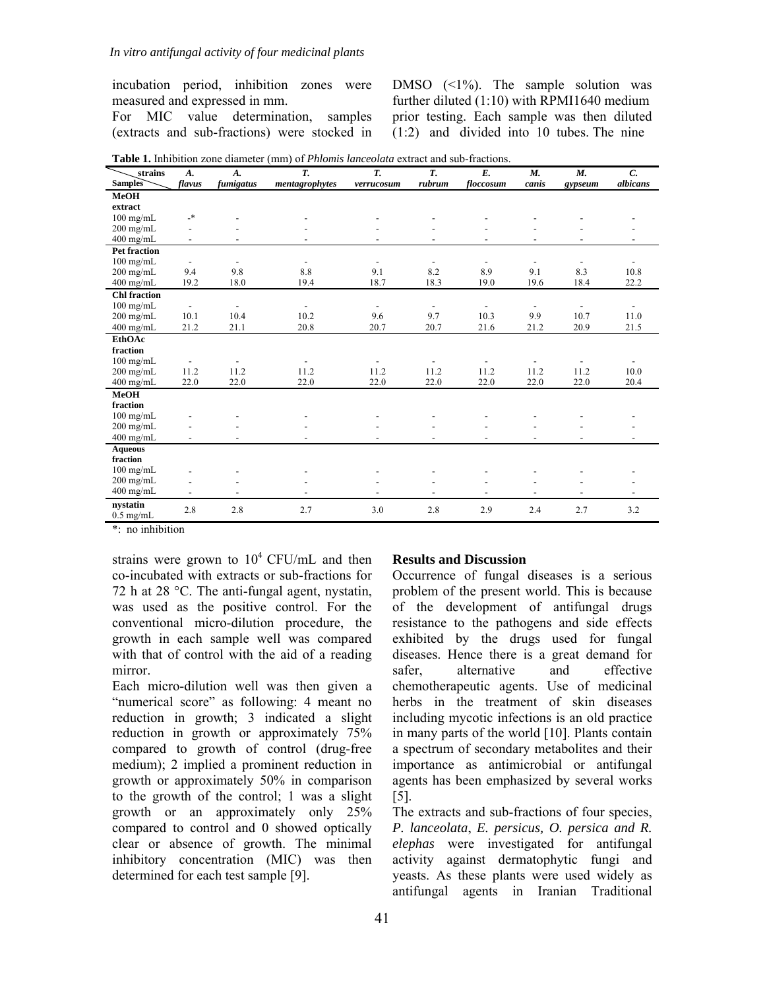incubation period, inhibition zones were measured and expressed in mm.

For MIC value determination, samples (extracts and sub-fractions) were stocked in DMSO  $(1\%)$ . The sample solution was further diluted (1:10) with RPMI1640 medium prior testing. Each sample was then diluted  $(1:2)$  and divided into 10 tubes. The nine

|  | <b>Table 1.</b> Inhibition zone diameter (mm) of <i>Phlomis lanceolata</i> extract and sub-fractions. |
|--|-------------------------------------------------------------------------------------------------------|

| strains                 | $A$ .                    | $A$ .                    | T.                       | $\overline{T}$           | T.                       | $E_{\cdot}$              | $M_{\cdot}$              | M.                       | $\mathcal{C}$ .          |
|-------------------------|--------------------------|--------------------------|--------------------------|--------------------------|--------------------------|--------------------------|--------------------------|--------------------------|--------------------------|
| <b>Samples</b>          | flavus                   | fumigatus                | mentagrophytes           | verrucosum               | rubrum                   | floccosum                | canis                    | gypseum                  | albicans                 |
| MeOH                    |                          |                          |                          |                          |                          |                          |                          |                          |                          |
| extract                 |                          |                          |                          |                          |                          |                          |                          |                          |                          |
| $100$ mg/mL             | $\overline{\phantom{a}}$ |                          |                          |                          |                          |                          |                          |                          |                          |
| $200$ mg/mL             |                          |                          |                          |                          |                          |                          |                          |                          |                          |
| $400$ mg/mL             | $\overline{\phantom{a}}$ |                          |                          |                          | $\overline{\phantom{a}}$ |                          |                          |                          |                          |
| <b>Pet fraction</b>     |                          |                          |                          |                          |                          |                          |                          |                          |                          |
| $100$ mg/mL             | $\overline{\phantom{a}}$ | $\overline{\phantom{a}}$ | $\overline{\phantom{a}}$ | $\overline{\phantom{a}}$ | $\overline{\phantom{a}}$ | $\overline{\phantom{a}}$ | $\overline{\phantom{a}}$ | $\overline{\phantom{a}}$ |                          |
| $200$ mg/mL             | 9.4                      | 9.8                      | 8.8                      | 9.1                      | 8.2                      | 8.9                      | 9.1                      | 8.3                      | 10.8                     |
| 400 mg/mL               | 19.2                     | 18.0                     | 19.4                     | 18.7                     | 18.3                     | 19.0                     | 19.6                     | 18.4                     | 22.2                     |
| <b>Chl</b> fraction     |                          |                          |                          |                          |                          |                          |                          |                          |                          |
| $100$ mg/mL             | $\overline{\phantom{a}}$ | $\overline{\phantom{a}}$ | $\overline{\phantom{a}}$ | $\overline{\phantom{a}}$ | $\overline{\phantom{a}}$ | $\overline{\phantom{0}}$ | $\overline{\phantom{a}}$ | $\overline{\phantom{a}}$ | $\overline{\phantom{a}}$ |
| $200$ mg/mL             | 10.1                     | 10.4                     | 10.2                     | 9.6                      | 9.7                      | 10.3                     | 9.9                      | 10.7                     | 11.0                     |
| $400$ mg/mL             | 21.2                     | 21.1                     | 20.8                     | 20.7                     | 20.7                     | 21.6                     | 21.2                     | 20.9                     | 21.5                     |
| <b>EthOAc</b>           |                          |                          |                          |                          |                          |                          |                          |                          |                          |
| fraction                |                          |                          |                          |                          |                          |                          |                          |                          |                          |
| $100$ mg/mL             | $\overline{\phantom{a}}$ | $\overline{\phantom{a}}$ |                          |                          | $\overline{\phantom{a}}$ | $\overline{a}$           |                          |                          |                          |
| $200$ mg/mL             | 11.2                     | 11.2                     | 11.2                     | 11.2                     | 11.2                     | 11.2                     | 11.2                     | 11.2                     | 10.0                     |
| $400$ mg/mL             | 22.0                     | 22.0                     | 22.0                     | 22.0                     | 22.0                     | 22.0                     | 22.0                     | 22.0                     | 20.4                     |
| MeOH                    |                          |                          |                          |                          |                          |                          |                          |                          |                          |
| fraction                |                          |                          |                          |                          |                          |                          |                          |                          |                          |
| $100$ mg/mL             |                          |                          |                          |                          |                          |                          |                          |                          |                          |
| $200$ mg/mL             |                          |                          |                          |                          |                          |                          |                          |                          |                          |
| $400$ mg/mL             | $\overline{a}$           |                          |                          |                          | $\overline{\phantom{a}}$ | $\overline{a}$           | $\overline{\phantom{0}}$ | $\overline{\phantom{0}}$ |                          |
| <b>Aqueous</b>          |                          |                          |                          |                          |                          |                          |                          |                          |                          |
| fraction                |                          |                          |                          |                          |                          |                          |                          |                          |                          |
| $100$ mg/mL             |                          |                          |                          |                          |                          |                          |                          |                          |                          |
| $200$ mg/mL             |                          |                          |                          |                          |                          |                          |                          |                          |                          |
| $400$ mg/mL             | $\overline{\phantom{a}}$ | $\overline{\phantom{0}}$ | $\overline{\phantom{a}}$ | $\overline{\phantom{a}}$ | $\overline{\phantom{a}}$ | $\overline{\phantom{a}}$ | $\overline{\phantom{a}}$ | $\overline{\phantom{a}}$ | $\overline{\phantom{0}}$ |
| nystatin<br>$0.5$ mg/mL | 2.8                      | 2.8                      | 2.7                      | 3.0                      | 2.8                      | 2.9                      | 2.4                      | 2.7                      | 3.2                      |

\*: no inhibition

strains were grown to  $10^4$  CFU/mL and then co-incubated with extracts or sub-fractions for 72 h at 28 °C. The anti-fungal agent, nystatin, was used as the positive control. For the conventional micro-dilution procedure, the growth in each sample well was compared with that of control with the aid of a reading mirror.

Each micro-dilution well was then given a "numerical score" as following: 4 meant no reduction in growth; 3 indicated a slight reduction in growth or approximately 75% compared to growth of control (drug-free medium); 2 implied a prominent reduction in growth or approximately 50% in comparison to the growth of the control; 1 was a slight growth or an approximately only 25% compared to control and 0 showed optically clear or absence of growth. The minimal inhibitory concentration (MIC) was then determined for each test sample [9].

#### **Results and Discussion**

Occurrence of fungal diseases is a serious problem of the present world. This is because of the development of antifungal drugs resistance to the pathogens and side effects exhibited by the drugs used for fungal diseases. Hence there is a great demand for safer, alternative and effective chemotherapeutic agents. Use of medicinal herbs in the treatment of skin diseases including mycotic infections is an old practice in many parts of the world [10]. Plants contain a spectrum of secondary metabolites and their importance as antimicrobial or antifungal agents has been emphasized by several works [5].

The extracts and sub-fractions of four species, *P. lanceolata*, *E. persicus, O. persica and R. elephas* were investigated for antifungal activity against dermatophytic fungi and yeasts. As these plants were used widely as antifungal agents in Iranian Traditional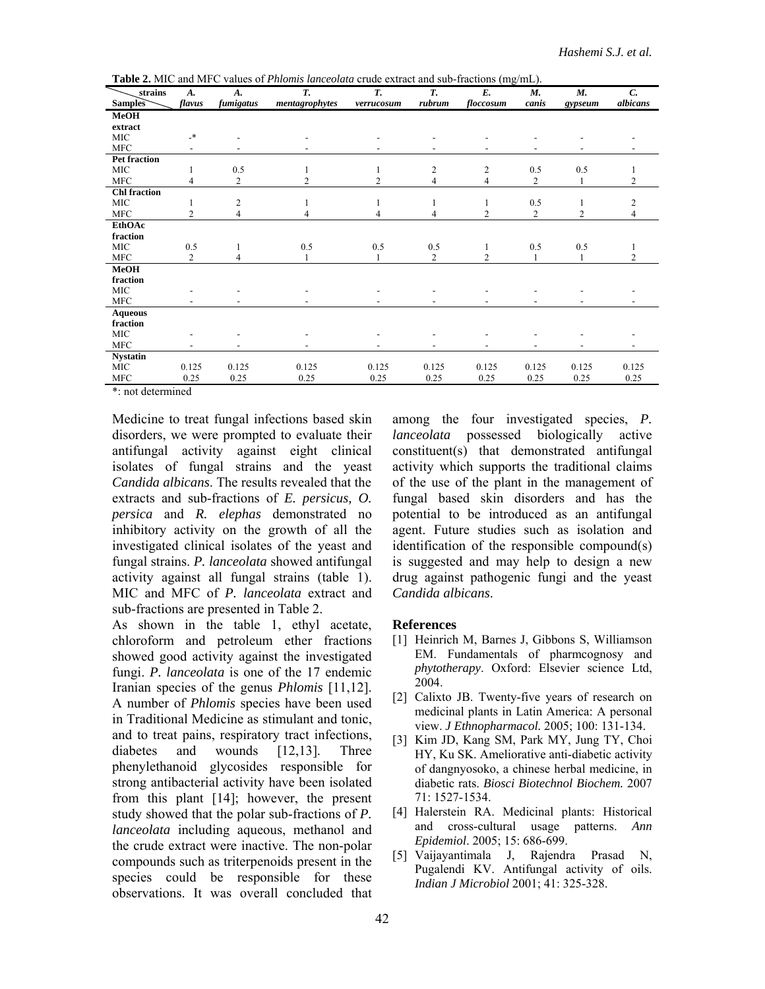| strains             | A.                       | A.             | Т.             | T.             | T.                       | 、ーー<br>E.      | М.                       | М.                       | $\mathcal{C}$ . |
|---------------------|--------------------------|----------------|----------------|----------------|--------------------------|----------------|--------------------------|--------------------------|-----------------|
| <b>Samples</b>      | flavus                   | fumigatus      | mentagrophytes | verrucosum     | rubrum                   | floccosum      | canis                    | gypseum                  | albicans        |
| <b>MeOH</b>         |                          |                |                |                |                          |                |                          |                          |                 |
| extract             |                          |                |                |                |                          |                |                          |                          |                 |
| <b>MIC</b>          | $\overline{\phantom{a}}$ |                |                |                |                          |                |                          |                          |                 |
| <b>MFC</b>          | $\overline{\phantom{0}}$ |                |                |                | $\overline{\phantom{a}}$ | $\overline{a}$ | $\overline{\phantom{a}}$ | $\overline{\phantom{a}}$ |                 |
| <b>Pet fraction</b> |                          |                |                |                |                          |                |                          |                          |                 |
| MIC                 | 1                        | 0.5            |                |                | $\overline{c}$           | 2              | 0.5                      | 0.5                      |                 |
| <b>MFC</b>          | $\overline{4}$           | $\overline{2}$ | $\overline{c}$ | $\overline{c}$ | $\overline{4}$           | 4              | $\overline{c}$           | 1                        | $\overline{2}$  |
| <b>Chl</b> fraction |                          |                |                |                |                          |                |                          |                          |                 |
| <b>MIC</b>          |                          | $\overline{c}$ |                | 1              | 1                        | 1              | 0.5                      | 1                        | $\overline{c}$  |
| <b>MFC</b>          | $\overline{2}$           | 4              | 4              | 4              | 4                        | 2              | $\overline{c}$           | $\overline{2}$           | 4               |
| EthOAc              |                          |                |                |                |                          |                |                          |                          |                 |
| fraction            |                          |                |                |                |                          |                |                          |                          |                 |
| <b>MIC</b>          | 0.5                      |                | 0.5            | 0.5            | 0.5                      | 1              | 0.5                      | 0.5                      |                 |
| <b>MFC</b>          | 2                        | 4              |                |                | 2                        | 2              |                          | 1                        | 2               |
| <b>MeOH</b>         |                          |                |                |                |                          |                |                          |                          |                 |
| fraction            |                          |                |                |                |                          |                |                          |                          |                 |
| <b>MIC</b>          |                          |                |                |                |                          |                |                          |                          |                 |
| <b>MFC</b>          |                          |                |                |                |                          |                |                          |                          |                 |
| <b>Aqueous</b>      |                          |                |                |                |                          |                |                          |                          |                 |
| fraction            |                          |                |                |                |                          |                |                          |                          |                 |
| MIC                 |                          |                |                |                |                          |                |                          |                          |                 |
| <b>MFC</b>          |                          |                |                |                |                          |                |                          |                          |                 |
| <b>Nystatin</b>     |                          |                |                |                |                          |                |                          |                          |                 |
| MIC                 | 0.125                    | 0.125          | 0.125          | 0.125          | 0.125                    | 0.125          | 0.125                    | 0.125                    | 0.125           |
| <b>MFC</b>          | 0.25                     | 0.25           | 0.25           | 0.25           | 0.25                     | 0.25           | 0.25                     | 0.25                     | 0.25            |

**Table 2.** MIC and MFC values of *Phlomis lanceolata* crude extract and sub-fractions (mg/mL).

\*: not determined

Medicine to treat fungal infections based skin disorders, we were prompted to evaluate their antifungal activity against eight clinical isolates of fungal strains and the yeast *Candida albicans*. The results revealed that the extracts and sub-fractions of *E. persicus, O. persica* and *R. elephas* demonstrated no inhibitory activity on the growth of all the investigated clinical isolates of the yeast and fungal strains. *P. lanceolata* showed antifungal activity against all fungal strains (table 1). MIC and MFC of *P. lanceolata* extract and sub-fractions are presented in Table 2.

As shown in the table 1, ethyl acetate, chloroform and petroleum ether fractions showed good activity against the investigated fungi. *P. lanceolata* is one of the 17 endemic Iranian species of the genus *Phlomis* [11,12]. A number of *Phlomis* species have been used in Traditional Medicine as stimulant and tonic, and to treat pains, respiratory tract infections, diabetes and wounds [12,13]. Three phenylethanoid glycosides responsible for strong antibacterial activity have been isolated from this plant [14]; however, the present study showed that the polar sub-fractions of *P. lanceolata* including aqueous, methanol and the crude extract were inactive. The non-polar compounds such as triterpenoids present in the species could be responsible for these observations. It was overall concluded that

among the four investigated species, *P. lanceolata* possessed biologically active constituent(s) that demonstrated antifungal activity which supports the traditional claims of the use of the plant in the management of fungal based skin disorders and has the potential to be introduced as an antifungal agent. Future studies such as isolation and identification of the responsible compound(s) is suggested and may help to design a new drug against pathogenic fungi and the yeast *Candida albicans*.

#### **References**

- [1] Heinrich M, Barnes J, Gibbons S, Williamson EM. Fundamentals of pharmcognosy and *phytotherapy*. Oxford: Elsevier science Ltd, 2004.
- [2] Calixto JB. Twenty-five years of research on medicinal plants in Latin America: A personal view. *J Ethnopharmacol.* 2005; 100: 131-134.
- [3] Kim JD, Kang SM, Park MY, Jung TY, Choi HY, Ku SK. Ameliorative anti-diabetic activity of dangnyosoko, a chinese herbal medicine, in diabetic rats. *Biosci Biotechnol Biochem.* 2007 71: 1527-1534.
- [4] Halerstein RA. Medicinal plants: Historical and cross-cultural usage patterns. *Ann Epidemiol*. 2005; 15: 686-699.
- [5] Vaijayantimala J, Rajendra Prasad N, Pugalendi KV. Antifungal activity of oils. *Indian J Microbiol* 2001; 41: 325-328.